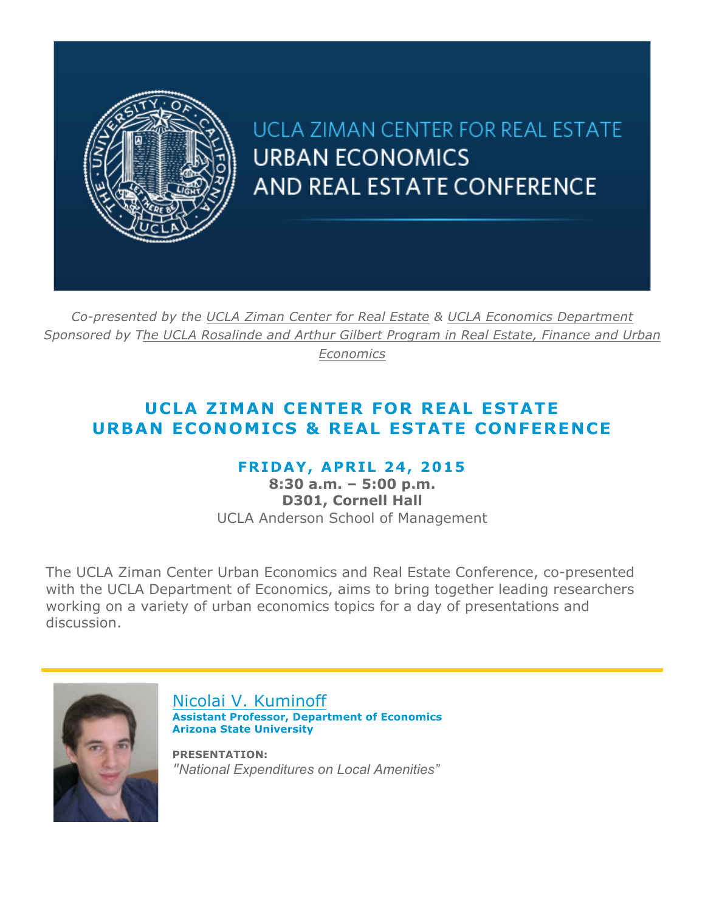

UCLA ZIMAN CENTER FOR REAL ESTATE **URBAN ECONOMICS** AND REAL ESTATE CONFERENCE

*Co-presented by the UCLA Ziman Center for Real Estate & UCLA Economics Department Sponsored by The UCLA Rosalinde and Arthur Gilbert Program in Real Estate, Finance and Urban Economics*

## **UCLA ZIMAN CENTER FOR REAL ESTATE URBAN ECONOMICS & REAL ESTATE CONFERENCE**

## **FRIDAY, APRIL 24, 2015**

**8:30 a.m. – 5:00 p.m. D301, Cornell Hall** UCLA Anderson School of Management

The UCLA Ziman Center Urban Economics and Real Estate Conference, co-presented with the UCLA Department of Economics, aims to bring together leading researchers working on a variety of urban economics topics for a day of presentations and discussion.



Nicolai V. Kuminoff **Assistant Professor, Department of Economics Arizona State University**

**PRESENTATION:** *"National Expenditures on Local Amenities"*